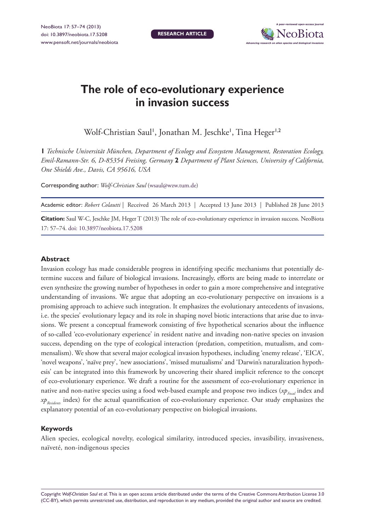**Research article**



# **The role of eco-evolutionary experience in invasion success**

Wolf-Christian Saul', Jonathan M. Jeschke', Tina Heger<sup>1,2</sup>

**1** *Technische Universität München, Department of Ecology and Ecosystem Management, Restoration Ecology, Emil-Ramann-Str. 6, D-85354 Freising, Germany* **2** *Department of Plant Sciences, University of California, One Shields Ave., Davis, CA 95616, USA*

Corresponding author: *Wolf-Christian Saul* ([wsaul@wzw.tum.de\)](mailto:wsaul@wzw.tum.de)

Academic editor: *Robert Colautti* | Received 26 March 2013 | Accepted 13 June 2013 | Published 28 June 2013

**Citation:** Saul W-C, Jeschke JM, Heger T (2013) The role of eco-evolutionary experience in invasion success. NeoBiota 17: 57–74. [doi: 10.3897/neobiota.17.5208](http://dx.doi.org/10.3897/neobiota.17.5208)

#### **Abstract**

Invasion ecology has made considerable progress in identifying specific mechanisms that potentially determine success and failure of biological invasions. Increasingly, efforts are being made to interrelate or even synthesize the growing number of hypotheses in order to gain a more comprehensive and integrative understanding of invasions. We argue that adopting an eco-evolutionary perspective on invasions is a promising approach to achieve such integration. It emphasizes the evolutionary antecedents of invasions, i.e. the species' evolutionary legacy and its role in shaping novel biotic interactions that arise due to invasions. We present a conceptual framework consisting of five hypothetical scenarios about the influence of so-called 'eco-evolutionary experience' in resident native and invading non-native species on invasion success, depending on the type of ecological interaction (predation, competition, mutualism, and commensalism). We show that several major ecological invasion hypotheses, including 'enemy release', 'EICA', 'novel weapons', 'naïve prey', 'new associations', 'missed mutualisms' and 'Darwin's naturalization hypothesis' can be integrated into this framework by uncovering their shared implicit reference to the concept of eco-evolutionary experience. We draft a routine for the assessment of eco-evolutionary experience in native and non-native species using a food web-based example and propose two indices (*xp<sub>Focal</sub>* index and *xp<sub>Residents</sub>* index) for the actual quantification of eco-evolutionary experience. Our study emphasizes the explanatory potential of an eco-evolutionary perspective on biological invasions.

#### **Keywords**

Alien species, ecological novelty, ecological similarity, introduced species, invasibility, invasiveness, naïveté, non-indigenous species

Copyright *Wolf-Christian Saul et al.* This is an open access article distributed under the terms of the [Creative Commons Attribution License 3.0](http://creativecommons.org/licenses/by/3.0/)  [\(CC-BY\),](http://creativecommons.org/licenses/by/3.0/) which permits unrestricted use, distribution, and reproduction in any medium, provided the original author and source are credited.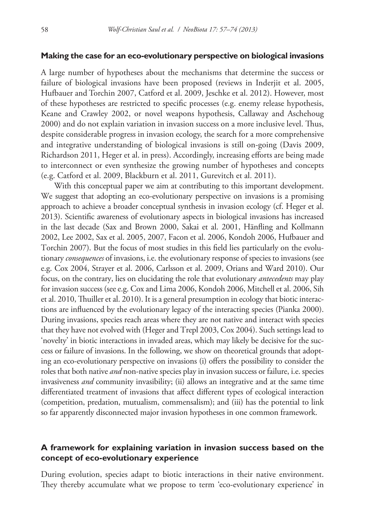#### **Making the case for an eco-evolutionary perspective on biological invasions**

A large number of hypotheses about the mechanisms that determine the success or failure of biological invasions have been proposed (reviews in Inderjit et al. 2005, Hufbauer and Torchin 2007, Catford et al. 2009, Jeschke et al. 2012). However, most of these hypotheses are restricted to specific processes (e.g. enemy release hypothesis, Keane and Crawley 2002, or novel weapons hypothesis, Callaway and Aschehoug 2000) and do not explain variation in invasion success on a more inclusive level. Thus, despite considerable progress in invasion ecology, the search for a more comprehensive and integrative understanding of biological invasions is still on-going (Davis 2009, Richardson 2011, Heger et al. in press). Accordingly, increasing efforts are being made to interconnect or even synthesize the growing number of hypotheses and concepts (e.g. Catford et al. 2009, Blackburn et al. 2011, Gurevitch et al. 2011).

With this conceptual paper we aim at contributing to this important development. We suggest that adopting an eco-evolutionary perspective on invasions is a promising approach to achieve a broader conceptual synthesis in invasion ecology (cf. Heger et al. 2013). Scientific awareness of evolutionary aspects in biological invasions has increased in the last decade (Sax and Brown 2000, Sakai et al. 2001, Hänfling and Kollmann 2002, Lee 2002, Sax et al. 2005, 2007, Facon et al. 2006, Kondoh 2006, Hufbauer and Torchin 2007). But the focus of most studies in this field lies particularly on the evolutionary *consequences* of invasions, i.e. the evolutionary response of species to invasions (see e.g. Cox 2004, Strayer et al. 2006, Carlsson et al. 2009, Orians and Ward 2010). Our focus, on the contrary, lies on elucidating the role that evolutionary *antecedents* may play for invasion success (see e.g. Cox and Lima 2006, Kondoh 2006, Mitchell et al. 2006, Sih et al. 2010, Thuiller et al. 2010). It is a general presumption in ecology that biotic interactions are influenced by the evolutionary legacy of the interacting species (Pianka 2000). During invasions, species reach areas where they are not native and interact with species that they have not evolved with (Heger and Trepl 2003, Cox 2004). Such settings lead to 'novelty' in biotic interactions in invaded areas, which may likely be decisive for the success or failure of invasions. In the following, we show on theoretical grounds that adopting an eco-evolutionary perspective on invasions (i) offers the possibility to consider the roles that both native *and* non-native species play in invasion success or failure, i.e. species invasiveness *and* community invasibility; (ii) allows an integrative and at the same time differentiated treatment of invasions that affect different types of ecological interaction (competition, predation, mutualism, commensalism); and (iii) has the potential to link so far apparently disconnected major invasion hypotheses in one common framework.

### **A framework for explaining variation in invasion success based on the concept of eco-evolutionary experience**

During evolution, species adapt to biotic interactions in their native environment. They thereby accumulate what we propose to term 'eco-evolutionary experience' in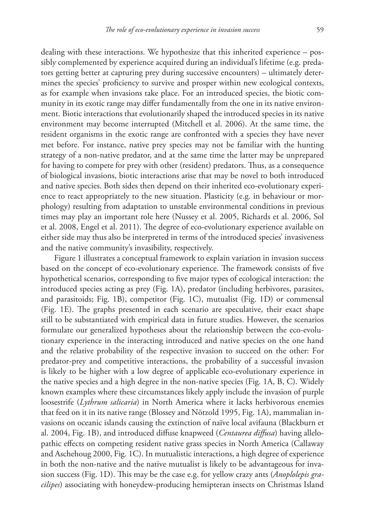dealing with these interactions. We hypothesize that this inherited experience – possibly complemented by experience acquired during an individual's lifetime (e.g. predators getting better at capturing prey during successive encounters) – ultimately determines the species' proficiency to survive and prosper within new ecological contexts, as for example when invasions take place. For an introduced species, the biotic community in its exotic range may differ fundamentally from the one in its native environment. Biotic interactions that evolutionarily shaped the introduced species in its native environment may become interrupted (Mitchell et al. 2006). At the same time, the resident organisms in the exotic range are confronted with a species they have never met before. For instance, native prey species may not be familiar with the hunting strategy of a non-native predator, and at the same time the latter may be unprepared for having to compete for prey with other (resident) predators. Thus, as a consequence of biological invasions, biotic interactions arise that may be novel to both introduced and native species. Both sides then depend on their inherited eco-evolutionary experience to react appropriately to the new situation. Plasticity (e.g. in behaviour or morphology) resulting from adaptation to unstable environmental conditions in previous times may play an important role here (Nussey et al. 2005, Richards et al. 2006, Sol et al. 2008, Engel et al. 2011). The degree of eco-evolutionary experience available on either side may thus also be interpreted in terms of the introduced species' invasiveness and the native community's invasibility, respectively.

Figure 1 illustrates a conceptual framework to explain variation in invasion success based on the concept of eco-evolutionary experience. The framework consists of five hypothetical scenarios, corresponding to five major types of ecological interaction: the introduced species acting as prey (Fig. 1A), predator (including herbivores, parasites, and parasitoids; Fig. 1B), competitor (Fig. 1C), mutualist (Fig. 1D) or commensal (Fig. 1E). The graphs presented in each scenario are speculative, their exact shape still to be substantiated with empirical data in future studies. However, the scenarios formulate our generalized hypotheses about the relationship between the eco-evolutionary experience in the interacting introduced and native species on the one hand and the relative probability of the respective invasion to succeed on the other: For predator-prey and competitive interactions, the probability of a successful invasion is likely to be higher with a low degree of applicable eco-evolutionary experience in the native species and a high degree in the non-native species (Fig. 1A, B, C). Widely known examples where these circumstances likely apply include the invasion of purple loosestrife (*Lythrum salicaria*) in North America where it lacks herbivorous enemies that feed on it in its native range (Blossey and Nötzold 1995, Fig. 1A), mammalian invasions on oceanic islands causing the extinction of naïve local avifauna (Blackburn et al. 2004, Fig. 1B), and introduced diffuse knapweed (*Centaurea diffusa*) having allelopathic effects on competing resident native grass species in North America (Callaway and Aschehoug 2000, Fig. 1C). In mutualistic interactions, a high degree of experience in both the non-native and the native mutualist is likely to be advantageous for invasion success (Fig. 1D). This may be the case e.g. for yellow crazy ants (*Anoplolepis gracilipes*) associating with honeydew-producing hemipteran insects on Christmas Island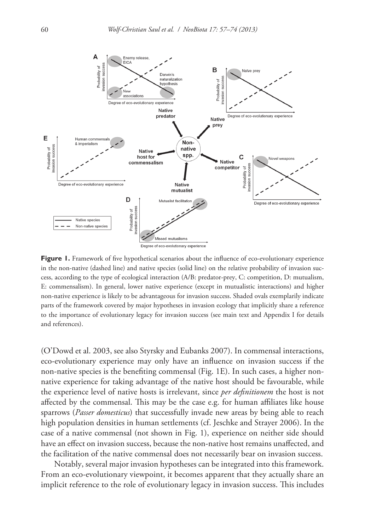

**Figure 1.** Framework of five hypothetical scenarios about the influence of eco-evolutionary experience in the non-native (dashed line) and native species (solid line) on the relative probability of invasion success, according to the type of ecological interaction (A/B: predator-prey, C: competition, D: mutualism, E: commensalism). In general, lower native experience (except in mutualistic interactions) and higher non-native experience is likely to be advantageous for invasion success. Shaded ovals exemplarily indicate parts of the framework covered by major hypotheses in invasion ecology that implicitly share a reference to the importance of evolutionary legacy for invasion success (see main text and Appendix I for details and references).

(O'Dowd et al. 2003, see also Styrsky and Eubanks 2007). In commensal interactions, eco-evolutionary experience may only have an influence on invasion success if the non-native species is the benefiting commensal (Fig. 1E). In such cases, a higher nonnative experience for taking advantage of the native host should be favourable, while the experience level of native hosts is irrelevant, since *per definitionem* the host is not affected by the commensal. This may be the case e.g. for human affiliates like house sparrows (*Passer domesticus*) that successfully invade new areas by being able to reach high population densities in human settlements (cf. Jeschke and Strayer 2006). In the case of a native commensal (not shown in Fig. 1), experience on neither side should have an effect on invasion success, because the non-native host remains unaffected, and the facilitation of the native commensal does not necessarily bear on invasion success.

Notably, several major invasion hypotheses can be integrated into this framework. From an eco-evolutionary viewpoint, it becomes apparent that they actually share an implicit reference to the role of evolutionary legacy in invasion success. This includes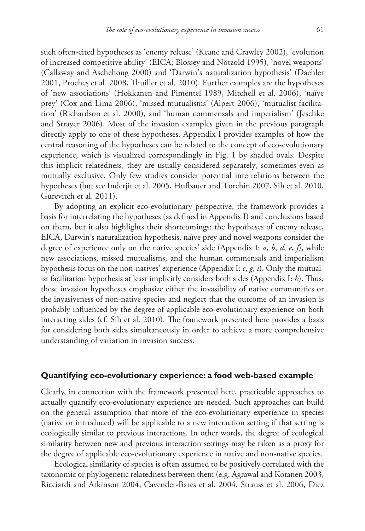such often-cited hypotheses as 'enemy release' (Keane and Crawley 2002), 'evolution of increased competitive ability' (EICA; Blossey and Nötzold 1995), 'novel weapons' (Callaway and Aschehoug 2000) and 'Darwin's naturalization hypothesis' (Daehler 2001, Procheş et al. 2008, Thuiller et al. 2010). Further examples are the hypotheses of 'new associations' (Hokkanen and Pimentel 1989, Mitchell et al. 2006), 'naïve prey' (Cox and Lima 2006), 'missed mutualisms' (Alpert 2006), 'mutualist facilitation' (Richardson et al. 2000), and 'human commensals and imperialism' (Jeschke and Strayer 2006). Most of the invasion examples given in the previous paragraph directly apply to one of these hypotheses. Appendix I provides examples of how the central reasoning of the hypotheses can be related to the concept of eco-evolutionary experience, which is visualized correspondingly in Fig. 1 by shaded ovals. Despite this implicit relatedness, they are usually considered separately, sometimes even as mutually exclusive. Only few studies consider potential interrelations between the hypotheses (but see Inderjit et al. 2005, Hufbauer and Torchin 2007, Sih et al. 2010, Gurevitch et al. 2011).

By adopting an explicit eco-evolutionary perspective, the framework provides a basis for interrelating the hypotheses (as defined in Appendix I) and conclusions based on them, but it also highlights their shortcomings: the hypotheses of enemy release, EICA, Darwin's naturalization hypothesis, naïve prey and novel weapons consider the degree of experience only on the native species' side (Appendix I: *a*, *b*, *d*, *e*, *f*), while new associations, missed mutualisms, and the human commensals and imperialism hypothesis focus on the non-natives' experience (Appendix I: *c*, *g, i*). Only the mutualist facilitation hypothesis at least implicitly considers both sides (Appendix I: *h*). Thus, these invasion hypotheses emphasize either the invasibility of native communities or the invasiveness of non-native species and neglect that the outcome of an invasion is probably influenced by the degree of applicable eco-evolutionary experience on both interacting sides (cf. Sih et al. 2010). The framework presented here provides a basis for considering both sides simultaneously in order to achieve a more comprehensive understanding of variation in invasion success.

#### **Quantifying eco-evolutionary experience: a food web-based example**

Clearly, in connection with the framework presented here, practicable approaches to actually quantify eco-evolutionary experience are needed. Such approaches can build on the general assumption that more of the eco-evolutionary experience in species (native or introduced) will be applicable to a new interaction setting if that setting is ecologically similar to previous interactions. In other words, the degree of ecological similarity between new and previous interaction settings may be taken as a proxy for the degree of applicable eco-evolutionary experience in native and non-native species.

Ecological similarity of species is often assumed to be positively correlated with the taxonomic or phylogenetic relatedness between them (e.g. Agrawal and Kotanen 2003, Ricciardi and Atkinson 2004, Cavender-Bares et al. 2004, Strauss et al. 2006, Diez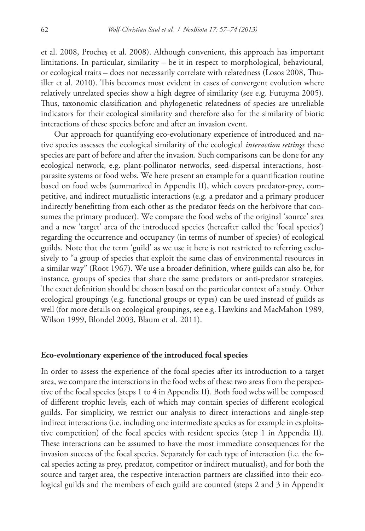et al. 2008, Procheş et al. 2008). Although convenient, this approach has important limitations. In particular, similarity – be it in respect to morphological, behavioural, or ecological traits – does not necessarily correlate with relatedness (Losos 2008, Thuiller et al. 2010). This becomes most evident in cases of convergent evolution where relatively unrelated species show a high degree of similarity (see e.g. Futuyma 2005). Thus, taxonomic classification and phylogenetic relatedness of species are unreliable indicators for their ecological similarity and therefore also for the similarity of biotic interactions of these species before and after an invasion event.

Our approach for quantifying eco-evolutionary experience of introduced and native species assesses the ecological similarity of the ecological *interaction settings* these species are part of before and after the invasion. Such comparisons can be done for any ecological network, e.g. plant-pollinator networks, seed-dispersal interactions, hostparasite systems or food webs. We here present an example for a quantification routine based on food webs (summarized in Appendix II), which covers predator-prey, competitive, and indirect mutualistic interactions (e.g. a predator and a primary producer indirectly benefitting from each other as the predator feeds on the herbivore that consumes the primary producer). We compare the food webs of the original 'source' area and a new 'target' area of the introduced species (hereafter called the 'focal species') regarding the occurrence and occupancy (in terms of number of species) of ecological guilds. Note that the term 'guild' as we use it here is not restricted to referring exclusively to "a group of species that exploit the same class of environmental resources in a similar way" (Root 1967). We use a broader definition, where guilds can also be, for instance, groups of species that share the same predators or anti-predator strategies. The exact definition should be chosen based on the particular context of a study. Other ecological groupings (e.g. functional groups or types) can be used instead of guilds as well (for more details on ecological groupings, see e.g. Hawkins and MacMahon 1989, Wilson 1999, Blondel 2003, Blaum et al. 2011).

#### **Eco-evolutionary experience of the introduced focal species**

In order to assess the experience of the focal species after its introduction to a target area, we compare the interactions in the food webs of these two areas from the perspective of the focal species (steps 1 to 4 in Appendix II). Both food webs will be composed of different trophic levels, each of which may contain species of different ecological guilds. For simplicity, we restrict our analysis to direct interactions and single-step indirect interactions (i.e. including one intermediate species as for example in exploitative competition) of the focal species with resident species (step 1 in Appendix II). These interactions can be assumed to have the most immediate consequences for the invasion success of the focal species. Separately for each type of interaction (i.e. the focal species acting as prey, predator, competitor or indirect mutualist), and for both the source and target area, the respective interaction partners are classified into their ecological guilds and the members of each guild are counted (steps 2 and 3 in Appendix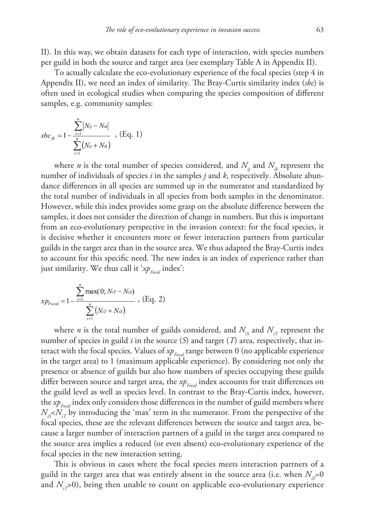II). In this way, we obtain datasets for each type of interaction, with species numbers per guild in both the source and target area (see exemplary Table A in Appendix II).

To actually calculate the eco-evolutionary experience of the focal species (step 4 in Appendix II), we need an index of similarity. The Bray-Curtis similarity index (*sbc*) is often used in ecological studies when comparing the species composition of different samples, e.g. community samples:

$$
sbc_{jk} = 1 - \frac{\sum_{i=1}^{n} |N_{ij} - N_{ik}|}{\sum_{i=1}^{n} (N_{ij} + N_{ik})} , (Eq. 1)
$$

where *n* is the total number of species considered, and  $N_{ii}$  and  $N_{ii}$  represent the number of individuals of species *i* in the samples *j* and *k*, respectively. Absolute abundance differences in all species are summed up in the numerator and standardized by the total number of individuals in all species from both samples in the denominator. However, while this index provides some grasp on the absolute difference between the samples, it does not consider the direction of change in numbers. But this is important from an eco-evolutionary perspective in the invasion context: for the focal species, it is decisive whether it encounters more or fewer interaction partners from particular guilds in the target area than in the source area. We thus adapted the Bray-Curtis index to account for this specific need. The new index is an index of experience rather than just similarity. We thus call it '*xp<sub>Focal</sub>* index':

$$
x p_{Focal} = 1 - \frac{\sum_{i=1}^{n} \max(0; N_{iT} - N_{iS})}{\sum_{i=1}^{n} (N_{iT} + N_{iS})}, (Eq. 2)
$$

where *n* is the total number of guilds considered, and  $N_{iS}$  and  $N_{iT}$  represent the number of species in guild *i* in the source (*S*) and target (*T*) area, respectively, that interact with the focal species. Values of  $xp_{\text{Focal}}$  range between 0 (no applicable experience in the target area) to 1 (maximum applicable experience). By considering not only the presence or absence of guilds but also how numbers of species occupying these guilds differ between source and target area, the *xp<sub>Focal</sub>* index accounts for trait differences on the guild level as well as species level. In contrast to the Bray-Curtis index, however, the *xp<sub>Focal</sub>* index only considers those differences in the number of guild members where  $N_{iS} < N_{iT}$  by introducing the 'max' term in the numerator. From the perspective of the focal species, these are the relevant differences between the source and target area, because a larger number of interaction partners of a guild in the target area compared to the source area implies a reduced (or even absent) eco-evolutionary experience of the focal species in the new interaction setting.

This is obvious in cases where the focal species meets interaction partners of a guild in the target area that was entirely absent in the source area (i.e. when  $N_{\text{R}}=0$ and  $N_{\tau}$ >0), being then unable to count on applicable eco-evolutionary experience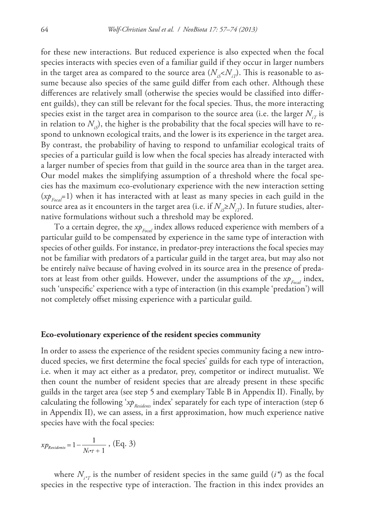for these new interactions. But reduced experience is also expected when the focal species interacts with species even of a familiar guild if they occur in larger numbers in the target area as compared to the source area  $(N_{is} < N_{it})$ . This is reasonable to assume because also species of the same guild differ from each other. Although these differences are relatively small (otherwise the species would be classified into different guilds), they can still be relevant for the focal species. Thus, the more interacting species exist in the target area in comparison to the source area (i.e. the larger  $N_{\tau}$  is in relation to  $N_{s}$ ), the higher is the probability that the focal species will have to respond to unknown ecological traits, and the lower is its experience in the target area. By contrast, the probability of having to respond to unfamiliar ecological traits of species of a particular guild is low when the focal species has already interacted with a larger number of species from that guild in the source area than in the target area. Our model makes the simplifying assumption of a threshold where the focal species has the maximum eco-evolutionary experience with the new interaction setting  $(xp_{\text{focal}}=1)$  when it has interacted with at least as many species in each guild in the source area as it encounters in the target area (i.e. if  $N_{i,s} \ge N_{i}$ ). In future studies, alternative formulations without such a threshold may be explored.

To a certain degree, the *xp<sub>Focal</sub>* index allows reduced experience with members of a particular guild to be compensated by experience in the same type of interaction with species of other guilds. For instance, in predator-prey interactions the focal species may not be familiar with predators of a particular guild in the target area, but may also not be entirely naïve because of having evolved in its source area in the presence of predators at least from other guilds. However, under the assumptions of the  $xp_{\text{f}_{\text{pred}}}$  index, such 'unspecific' experience with a type of interaction (in this example 'predation') will not completely offset missing experience with a particular guild.

#### **Eco-evolutionary experience of the resident species community**

In order to assess the experience of the resident species community facing a new introduced species, we first determine the focal species' guilds for each type of interaction, i.e. when it may act either as a predator, prey, competitor or indirect mutualist. We then count the number of resident species that are already present in these specific guilds in the target area (see step 5 and exemplary Table B in Appendix II). Finally, by calculating the following '*xp<sub>Residents</sub>* index' separately for each type of interaction (step 6 in Appendix II), we can assess, in a first approximation, how much experience native species have with the focal species:

$$
x p_{Residents} = 1 - \frac{1}{N_i * r + 1}
$$
, (Eq. 3)

where  $N_{\mu\tau}$  is the number of resident species in the same guild  $(i^*)$  as the focal species in the respective type of interaction. The fraction in this index provides an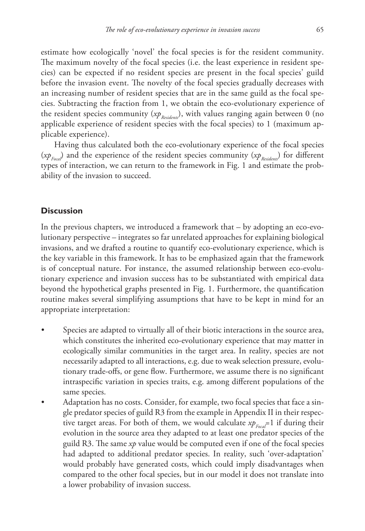estimate how ecologically 'novel' the focal species is for the resident community. The maximum novelty of the focal species (i.e. the least experience in resident species) can be expected if no resident species are present in the focal species' guild before the invasion event. The novelty of the focal species gradually decreases with an increasing number of resident species that are in the same guild as the focal species. Subtracting the fraction from 1, we obtain the eco-evolutionary experience of the resident species community (*xp<sub>Resident</sub>*), with values ranging again between 0 (no applicable experience of resident species with the focal species) to 1 (maximum applicable experience).

Having thus calculated both the eco-evolutionary experience of the focal species (*xp<sub>Focal</sub>*) and the experience of the resident species community (*xp<sub>Residents</sub>*) for different types of interaction, we can return to the framework in Fig. 1 and estimate the probability of the invasion to succeed.

#### **Discussion**

In the previous chapters, we introduced a framework that – by adopting an eco-evolutionary perspective – integrates so far unrelated approaches for explaining biological invasions, and we drafted a routine to quantify eco-evolutionary experience, which is the key variable in this framework. It has to be emphasized again that the framework is of conceptual nature. For instance, the assumed relationship between eco-evolutionary experience and invasion success has to be substantiated with empirical data beyond the hypothetical graphs presented in Fig. 1. Furthermore, the quantification routine makes several simplifying assumptions that have to be kept in mind for an appropriate interpretation:

- Species are adapted to virtually all of their biotic interactions in the source area, which constitutes the inherited eco-evolutionary experience that may matter in ecologically similar communities in the target area. In reality, species are not necessarily adapted to all interactions, e.g. due to weak selection pressure, evolutionary trade-offs, or gene flow. Furthermore, we assume there is no significant intraspecific variation in species traits, e.g. among different populations of the same species.
- Adaptation has no costs. Consider, for example, two focal species that face a single predator species of guild R3 from the example in Appendix II in their respective target areas. For both of them, we would calculate  $xp_{\text{Focal}}=1$  if during their evolution in the source area they adapted to at least one predator species of the guild R3. The same *xp* value would be computed even if one of the focal species had adapted to additional predator species. In reality, such 'over-adaptation' would probably have generated costs, which could imply disadvantages when compared to the other focal species, but in our model it does not translate into a lower probability of invasion success.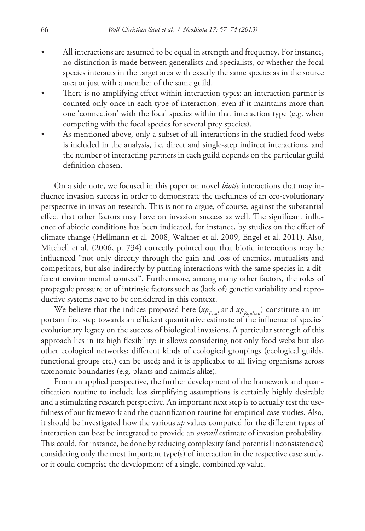- All interactions are assumed to be equal in strength and frequency. For instance, no distinction is made between generalists and specialists, or whether the focal species interacts in the target area with exactly the same species as in the source area or just with a member of the same guild.
- There is no amplifying effect within interaction types: an interaction partner is counted only once in each type of interaction, even if it maintains more than one 'connection' with the focal species within that interaction type (e.g. when competing with the focal species for several prey species).
- As mentioned above, only a subset of all interactions in the studied food webs is included in the analysis, i.e. direct and single-step indirect interactions, and the number of interacting partners in each guild depends on the particular guild definition chosen.

On a side note, we focused in this paper on novel *biotic* interactions that may influence invasion success in order to demonstrate the usefulness of an eco-evolutionary perspective in invasion research. This is not to argue, of course, against the substantial effect that other factors may have on invasion success as well. The significant influence of abiotic conditions has been indicated, for instance, by studies on the effect of climate change (Hellmann et al. 2008, Walther et al. 2009, Engel et al. 2011). Also, Mitchell et al. (2006, p. 734) correctly pointed out that biotic interactions may be influenced "not only directly through the gain and loss of enemies, mutualists and competitors, but also indirectly by putting interactions with the same species in a different environmental context". Furthermore, among many other factors, the roles of propagule pressure or of intrinsic factors such as (lack of) genetic variability and reproductive systems have to be considered in this context.

We believe that the indices proposed here  $(xp_{\text{Focal}})$  and  $xp_{\text{Residents}}$  constitute an important first step towards an efficient quantitative estimate of the influence of species' evolutionary legacy on the success of biological invasions. A particular strength of this approach lies in its high flexibility: it allows considering not only food webs but also other ecological networks; different kinds of ecological groupings (ecological guilds, functional groups etc.) can be used; and it is applicable to all living organisms across taxonomic boundaries (e.g. plants and animals alike).

From an applied perspective, the further development of the framework and quantification routine to include less simplifying assumptions is certainly highly desirable and a stimulating research perspective. An important next step is to actually test the usefulness of our framework and the quantification routine for empirical case studies. Also, it should be investigated how the various *xp* values computed for the different types of interaction can best be integrated to provide an *overall* estimate of invasion probability. This could, for instance, be done by reducing complexity (and potential inconsistencies) considering only the most important type(s) of interaction in the respective case study, or it could comprise the development of a single, combined *xp* value.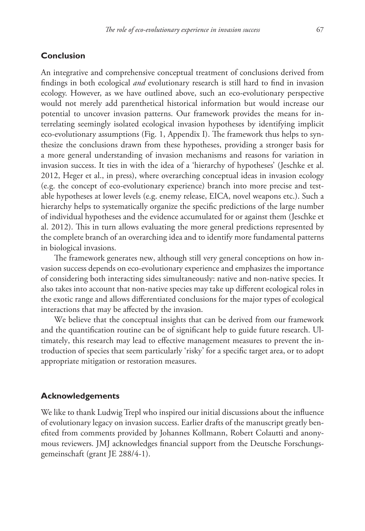#### **Conclusion**

An integrative and comprehensive conceptual treatment of conclusions derived from findings in both ecological *and* evolutionary research is still hard to find in invasion ecology. However, as we have outlined above, such an eco-evolutionary perspective would not merely add parenthetical historical information but would increase our potential to uncover invasion patterns. Our framework provides the means for interrelating seemingly isolated ecological invasion hypotheses by identifying implicit eco-evolutionary assumptions (Fig. 1, Appendix I). The framework thus helps to synthesize the conclusions drawn from these hypotheses, providing a stronger basis for a more general understanding of invasion mechanisms and reasons for variation in invasion success. It ties in with the idea of a 'hierarchy of hypotheses' (Jeschke et al. 2012, Heger et al., in press), where overarching conceptual ideas in invasion ecology (e.g. the concept of eco-evolutionary experience) branch into more precise and testable hypotheses at lower levels (e.g. enemy release, EICA, novel weapons etc.). Such a hierarchy helps to systematically organize the specific predictions of the large number of individual hypotheses and the evidence accumulated for or against them (Jeschke et al. 2012). This in turn allows evaluating the more general predictions represented by the complete branch of an overarching idea and to identify more fundamental patterns in biological invasions.

The framework generates new, although still very general conceptions on how invasion success depends on eco-evolutionary experience and emphasizes the importance of considering both interacting sides simultaneously: native and non-native species. It also takes into account that non-native species may take up different ecological roles in the exotic range and allows differentiated conclusions for the major types of ecological interactions that may be affected by the invasion.

We believe that the conceptual insights that can be derived from our framework and the quantification routine can be of significant help to guide future research. Ultimately, this research may lead to effective management measures to prevent the introduction of species that seem particularly 'risky' for a specific target area, or to adopt appropriate mitigation or restoration measures.

#### **Acknowledgements**

We like to thank Ludwig Trepl who inspired our initial discussions about the influence of evolutionary legacy on invasion success. Earlier drafts of the manuscript greatly benefited from comments provided by Johannes Kollmann, Robert Colautti and anonymous reviewers. JMJ acknowledges financial support from the Deutsche Forschungsgemeinschaft (grant JE 288/4-1).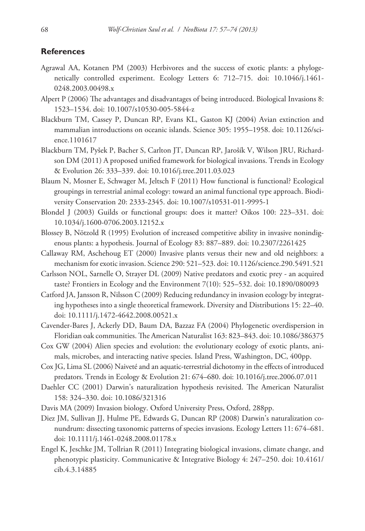#### **References**

- Agrawal AA, Kotanen PM (2003) Herbivores and the success of exotic plants: a phylogenetically controlled experiment. Ecology Letters 6: 712–715. [doi: 10.1046/j.1461-](http://dx.doi.org/10.1046/j.1461-0248.2003.00498.x) [0248.2003.00498.x](http://dx.doi.org/10.1046/j.1461-0248.2003.00498.x)
- Alpert P (2006) The advantages and disadvantages of being introduced. Biological Invasions 8: 1523–1534. [doi: 10.1007/s10530-005-5844-z](http://dx.doi.org/10.1007/s10530-005-5844-z)
- Blackburn TM, Cassey P, Duncan RP, Evans KL, Gaston KJ (2004) Avian extinction and mammalian introductions on oceanic islands. Science 305: 1955–1958. [doi: 10.1126/sci](http://dx.doi.org/10.1126/science.1101617)[ence.1101617](http://dx.doi.org/10.1126/science.1101617)
- Blackburn TM, Pyšek P, Bacher S, Carlton JT, Duncan RP, Jarošík V, Wilson JRU, Richardson DM (2011) A proposed unified framework for biological invasions. Trends in Ecology & Evolution 26: 333–339. [doi: 10.1016/j.tree.2011.03.023](http://dx.doi.org/10.1016/j.tree.2011.03.023)
- Blaum N, Mosner E, Schwager M, Jeltsch F (2011) How functional is functional? Ecological groupings in terrestrial animal ecology: toward an animal functional type approach. Biodiversity Conservation 20: 2333-2345. [doi: 10.1007/s10531-011-9995-1](http://dx.doi.org/10.1007/s10531-011-9995-1)
- Blondel J (2003) Guilds or functional groups: does it matter? Oikos 100: 223–331. [doi:](http://dx.doi.org/10.1034/j.1600-0706.2003.12152.x) [10.1034/j.1600-0706.2003.12152.x](http://dx.doi.org/10.1034/j.1600-0706.2003.12152.x)
- Blossey B, Nötzold R (1995) Evolution of increased competitive ability in invasive nonindigenous plants: a hypothesis. Journal of Ecology 83: 887–889. [doi: 10.2307/2261425](http://dx.doi.org/10.2307/2261425)
- Callaway RM, Aschehoug ET (2000) Invasive plants versus their new and old neighbors: a mechanism for exotic invasion. Science 290: 521–523. [doi: 10.1126/science.290.5491.521](http://dx.doi.org/10.1126/science.290.5491.521)
- Carlsson NOL, Sarnelle O, Strayer DL (2009) Native predators and exotic prey an acquired taste? Frontiers in Ecology and the Environment 7(10): 525–532. [doi: 10.1890/080093](http://dx.doi.org/10.1890/080093)
- Catford JA, Jansson R, Nilsson C (2009) Reducing redundancy in invasion ecology by integrating hypotheses into a single theoretical framework. Diversity and Distributions 15: 22–40. [doi: 10.1111/j.1472-4642.2008.00521.x](http://dx.doi.org/10.1111/j.1472-4642.2008.00521.x)
- Cavender-Bares J, Ackerly DD, Baum DA, Bazzaz FA (2004) Phylogenetic overdispersion in Floridian oak communities. The American Naturalist 163: 823–843. [doi: 10.1086/386375](http://dx.doi.org/10.1086/386375)
- Cox GW (2004) Alien species and evolution: the evolutionary ecology of exotic plants, animals, microbes, and interacting native species. Island Press, Washington, DC, 400pp.
- Cox JG, Lima SL (2006) Naiveté and an aquatic-terrestrial dichotomy in the effects of introduced predators. Trends in Ecology & Evolution 21: 674–680. [doi: 10.1016/j.tree.2006.07.011](http://dx.doi.org/10.1016/j.tree.2006.07.011)
- Daehler CC (2001) Darwin's naturalization hypothesis revisited. The American Naturalist 158: 324–330. [doi: 10.1086/321316](http://dx.doi.org/10.1086/321316)
- Davis MA (2009) Invasion biology. Oxford University Press, Oxford, 288pp.
- Diez JM, Sullivan JJ, Hulme PE, Edwards G, Duncan RP (2008) Darwin's naturalization conundrum: dissecting taxonomic patterns of species invasions. Ecology Letters 11: 674–681. [doi: 10.1111/j.1461-0248.2008.01178.x](http://dx.doi.org/10.1111/j.1461-0248.2008.01178.x)
- Engel K, Jeschke JM, Tollrian R (2011) Integrating biological invasions, climate change, and phenotypic plasticity. Communicative & Integrative Biology 4: 247–250. [doi: 10.4161/](http://dx.doi.org/10.4161/cib.4.3.14885) [cib.4.3.14885](http://dx.doi.org/10.4161/cib.4.3.14885)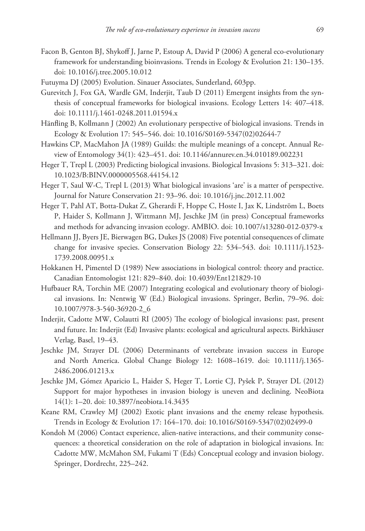- Facon B, Genton BJ, Shykoff J, Jarne P, Estoup A, David P (2006) A general eco-evolutionary framework for understanding bioinvasions. Trends in Ecology & Evolution 21: 130–135. [doi: 10.1016/j.tree.2005.10.012](http://dx.doi.org/10.1016/j.tree.2005.10.012)
- Futuyma DJ (2005) Evolution. Sinauer Associates, Sunderland, 603pp.
- Gurevitch J, Fox GA, Wardle GM, Inderjit, Taub D (2011) Emergent insights from the synthesis of conceptual frameworks for biological invasions. Ecology Letters 14: 407–418. [doi: 10.1111/j.1461-0248.2011.01594.x](http://dx.doi.org/10.1111/j.1461-0248.2011.01594.x)
- Hänfling B, Kollmann J (2002) An evolutionary perspective of biological invasions. Trends in Ecology & Evolution 17: 545–546. [doi: 10.1016/S0169-5347\(02\)02644-7](http://dx.doi.org/10.1016/S0169-5347(02)02644-7)
- Hawkins CP, MacMahon JA (1989) Guilds: the multiple meanings of a concept. Annual Review of Entomology 34(1): 423–451. [doi: 10.1146/annurev.en.34.010189.002231](http://dx.doi.org/10.1146/annurev.en.34.010189.002231)
- Heger T, Trepl L (2003) Predicting biological invasions. Biological Invasions 5: 313–321. [doi:](http://dx.doi.org/10.1023/B:BINV.0000005568.44154.12) [10.1023/B:BINV.0000005568.44154.12](http://dx.doi.org/10.1023/B:BINV.0000005568.44154.12)
- Heger T, Saul W-C, Trepl L (2013) What biological invasions 'are' is a matter of perspective. Journal for Nature Conservation 21: 93–96. [doi: 10.1016/j.jnc.2012.11.002](http://dx.doi.org/10.1016/j.jnc.2012.11.002)
- Heger T, Pahl AT, Botta-Dukat Z, Gherardi F, Hoppe C, Hoste I, Jax K, Lindström L, Boets P, Haider S, Kollmann J, Wittmann MJ, Jeschke JM (in press) Conceptual frameworks and methods for advancing invasion ecology. AMBIO. [doi: 10.1007/s13280-012-0379-x](http://dx.doi.org/10.1007/s13280-012-0379-x)
- Hellmann JJ, Byers JE, Bierwagen BG, Dukes JS (2008) Five potential consequences of climate change for invasive species. Conservation Biology 22: 534–543. [doi: 10.1111/j.1523-](http://dx.doi.org/10.1111/j.1523-1739.2008.00951.x) [1739.2008.00951.x](http://dx.doi.org/10.1111/j.1523-1739.2008.00951.x)
- Hokkanen H, Pimentel D (1989) New associations in biological control: theory and practice. Canadian Entomologist 121: 829–840. [doi: 10.4039/Ent121829-10](http://dx.doi.org/10.4039/Ent121829-10)
- Hufbauer RA, Torchin ME (2007) Integrating ecological and evolutionary theory of biological invasions. In: Nentwig W (Ed.) Biological invasions. Springer, Berlin, 79–96. [doi:](http://dx.doi.org/10.1007/978-3-540-36920-2_6) [10.1007/978-3-540-36920-2\\_6](http://dx.doi.org/10.1007/978-3-540-36920-2_6)
- Inderjit, Cadotte MW, Colautti RI (2005) The ecology of biological invasions: past, present and future. In: Inderjit (Ed) Invasive plants: ecological and agricultural aspects. Birkhäuser Verlag, Basel, 19–43.
- Jeschke JM, Strayer DL (2006) Determinants of vertebrate invasion success in Europe and North America. Global Change Biology 12: 1608–1619. [doi: 10.1111/j.1365-](http://dx.doi.org/10.1111/j.1365-2486.2006.01213.x) [2486.2006.01213.x](http://dx.doi.org/10.1111/j.1365-2486.2006.01213.x)
- Jeschke JM, Gómez Aparicio L, Haider S, Heger T, Lortie CJ, Pyšek P, Strayer DL (2012) Support for major hypotheses in invasion biology is uneven and declining. NeoBiota 14(1): 1–20. [doi: 10.3897/neobiota.14.3435](http://dx.doi.org/10.3897/neobiota.14.3435)
- Keane RM, Crawley MJ (2002) Exotic plant invasions and the enemy release hypothesis. Trends in Ecology & Evolution 17: 164–170. [doi: 10.1016/S0169-5347\(02\)02499-0](http://dx.doi.org/10.1016/S0169-5347(02)02499-0)
- Kondoh M (2006) Contact experience, alien-native interactions, and their community consequences: a theoretical consideration on the role of adaptation in biological invasions. In: Cadotte MW, McMahon SM, Fukami T (Eds) Conceptual ecology and invasion biology. Springer, Dordrecht, 225–242.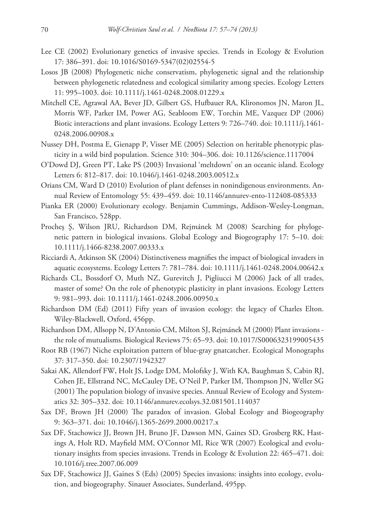- Lee CE (2002) Evolutionary genetics of invasive species. Trends in Ecology & Evolution 17: 386–391. [doi: 10.1016/S0169-5347\(02\)02554-5](http://dx.doi.org/10.1016/S0169-5347(02)02554-5)
- Losos JB (2008) Phylogenetic niche conservatism, phylogenetic signal and the relationship between phylogenetic relatedness and ecological similarity among species. Ecology Letters 11: 995–1003. [doi: 10.1111/j.1461-0248.2008.01229.x](http://dx.doi.org/10.1111/j.1461-0248.2008.01229.x)
- Mitchell CE, Agrawal AA, Bever JD, Gilbert GS, Hufbauer RA, Klironomos JN, Maron JL, Morris WF, Parker IM, Power AG, Seabloom EW, Torchin ME, Vazquez DP (2006) Biotic interactions and plant invasions. Ecology Letters 9: 726–740. [doi: 10.1111/j.1461-](http://dx.doi.org/10.1111/j.1461-0248.2006.00908.x) [0248.2006.00908.x](http://dx.doi.org/10.1111/j.1461-0248.2006.00908.x)
- Nussey DH, Postma E, Gienapp P, Visser ME (2005) Selection on heritable phenotypic plasticity in a wild bird population. Science 310: 304–306. [doi: 10.1126/science.1117004](http://dx.doi.org/10.1126/science.1117004)
- O'Dowd DJ, Green PT, Lake PS (2003) Invasional 'meltdown' on an oceanic island. Ecology Letters 6: 812–817. [doi: 10.1046/j.1461-0248.2003.00512.x](http://dx.doi.org/10.1046/j.1461-0248.2003.00512.x)
- Orians CM, Ward D (2010) Evolution of plant defenses in nonindigenous environments. Annual Review of Entomology 55: 439–459. [doi: 10.1146/annurev-ento-112408-085333](http://dx.doi.org/10.1146/annurev-ento-112408-085333)
- Pianka ER (2000) Evolutionary ecology. Benjamin Cummings, Addison-Wesley-Longman, San Francisco, 528pp.
- Procheş Ş, Wilson JRU, Richardson DM, Rejmánek M (2008) Searching for phylogenetic pattern in biological invasions. Global Ecology and Biogeography 17: 5–10. [doi:](http://dx.doi.org/10.1111/j.1466-8238.2007.00333.x) [10.1111/j.1466-8238.2007.00333.x](http://dx.doi.org/10.1111/j.1466-8238.2007.00333.x)
- Ricciardi A, Atkinson SK (2004) Distinctiveness magnifies the impact of biological invaders in aquatic ecosystems. Ecology Letters 7: 781–784. [doi: 10.1111/j.1461-0248.2004.00642.x](http://dx.doi.org/10.1111/j.1461-0248.2004.00642.x)
- Richards CL, Bossdorf O, Muth NZ, Gurevitch J, Pigliucci M (2006) Jack of all trades, master of some? On the role of phenotypic plasticity in plant invasions. Ecology Letters 9: 981–993. [doi: 10.1111/j.1461-0248.2006.00950.x](http://dx.doi.org/10.1111/j.1461-0248.2006.00950.x)
- Richardson DM (Ed) (2011) Fifty years of invasion ecology: the legacy of Charles Elton. Wiley-Blackwell, Oxford, 456pp.
- Richardson DM, Allsopp N, D'Antonio CM, Milton SJ, Rejmánek M (2000) Plant invasions the role of mutualisms. Biological Reviews 75: 65–93. [doi: 10.1017/S0006323199005435](http://dx.doi.org/10.1017/S0006323199005435)
- Root RB (1967) Niche exploitation pattern of blue-gray gnatcatcher. Ecological Monographs 37: 317–350. [doi: 10.2307/1942327](http://dx.doi.org/10.2307/1942327)
- Sakai AK, Allendorf FW, Holt JS, Lodge DM, Molofsky J, With KA, Baughman S, Cabin RJ, Cohen JE, Ellstrand NC, McCauley DE, O'Neil P, Parker IM, Thompson JN, Weller SG (2001) The population biology of invasive species. Annual Review of Ecology and Systematics 32: 305–332. [doi: 10.1146/annurev.ecolsys.32.081501.114037](http://dx.doi.org/10.1146/annurev.ecolsys.32.081501.114037)
- Sax DF, Brown JH (2000) The paradox of invasion. Global Ecology and Biogeography 9: 363–371. [doi: 10.1046/j.1365-2699.2000.00217.x](http://dx.doi.org/10.1046/j.1365-2699.2000.00217.x)
- Sax DF, Stachowicz JJ, Brown JH, Bruno JF, Dawson MN, Gaines SD, Grosberg RK, Hastings A, Holt RD, Mayfield MM, O'Connor MI, Rice WR (2007) Ecological and evolutionary insights from species invasions. Trends in Ecology & Evolution 22: 465–471. [doi:](http://dx.doi.org/10.1016/j.tree.2007.06.009) [10.1016/j.tree.2007.06.009](http://dx.doi.org/10.1016/j.tree.2007.06.009)
- Sax DF, Stachowicz JJ, Gaines S (Eds) (2005) Species invasions: insights into ecology, evolution, and biogeography. Sinauer Associates, Sunderland, 495pp.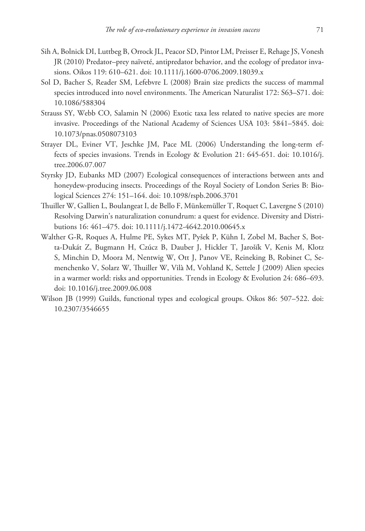- Sih A, Bolnick DI, Luttbeg B, Orrock JL, Peacor SD, Pintor LM, Preisser E, Rehage JS, Vonesh JR (2010) Predator–prey naïveté, antipredator behavior, and the ecology of predator invasions. Oikos 119: 610–621. [doi: 10.1111/j.1600-0706.2009.18039.x](http://dx.doi.org/10.1111/j.1600-0706.2009.18039.x)
- Sol D, Bacher S, Reader SM, Lefebvre L (2008) Brain size predicts the success of mammal species introduced into novel environments. The American Naturalist 172: S63–S71. [doi:](http://dx.doi.org/10.1086/588304) [10.1086/588304](http://dx.doi.org/10.1086/588304)
- Strauss SY, Webb CO, Salamin N (2006) Exotic taxa less related to native species are more invasive. Proceedings of the National Academy of Sciences USA 103: 5841–5845. [doi:](http://dx.doi.org/10.1073/pnas.0508073103) [10.1073/pnas.0508073103](http://dx.doi.org/10.1073/pnas.0508073103)
- Strayer DL, Eviner VT, Jeschke JM, Pace ML (2006) Understanding the long-term effects of species invasions. Trends in Ecology & Evolution 21: 645-651. [doi: 10.1016/j.](http://dx.doi.org/10.1016/j.tree.2006.07.007) [tree.2006.07.007](http://dx.doi.org/10.1016/j.tree.2006.07.007)
- Styrsky JD, Eubanks MD (2007) Ecological consequences of interactions between ants and honeydew-producing insects. Proceedings of the Royal Society of London Series B: Biological Sciences 274: 151–164. [doi: 10.1098/rspb.2006.3701](http://dx.doi.org/10.1098/rspb.2006.3701)
- Thuiller W, Gallien L, Boulangeat I, de Bello F, Münkemüller T, Roquet C, Lavergne S (2010) Resolving Darwin's naturalization conundrum: a quest for evidence. Diversity and Distributions 16: 461–475. [doi: 10.1111/j.1472-4642.2010.00645.x](http://dx.doi.org/10.1111/j.1472-4642.2010.00645.x)
- Walther G-R, Roques A, Hulme PE, Sykes MT, Pyšek P, Kühn I, Zobel M, Bacher S, Botta-Dukát Z, Bugmann H, Czúcz B, Dauber J, Hickler T, Jarošík V, Kenis M, Klotz S, Minchin D, Moora M, Nentwig W, Ott J, Panov VE, Reineking B, Robinet C, Semenchenko V, Solarz W, Thuiller W, Vilà M, Vohland K, Settele J (2009) Alien species in a warmer world: risks and opportunities. Trends in Ecology & Evolution 24: 686–693. [doi: 10.1016/j.tree.2009.06.008](http://dx.doi.org/10.1016/j.tree.2009.06.008)
- Wilson JB (1999) Guilds, functional types and ecological groups. Oikos 86: 507–522. [doi:](http://dx.doi.org/10.2307/3546655) [10.2307/3546655](http://dx.doi.org/10.2307/3546655)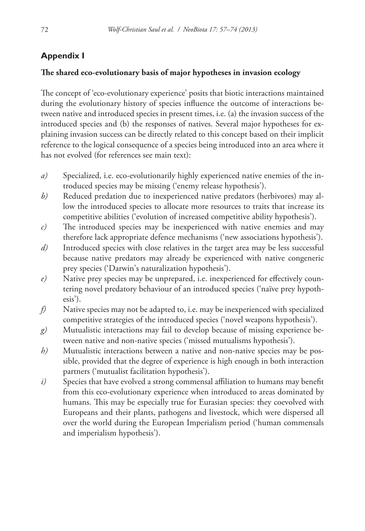## **Appendix I**

#### **The shared eco-evolutionary basis of major hypotheses in invasion ecology**

The concept of 'eco-evolutionary experience' posits that biotic interactions maintained during the evolutionary history of species influence the outcome of interactions between native and introduced species in present times, i.e. (a) the invasion success of the introduced species and (b) the responses of natives. Several major hypotheses for explaining invasion success can be directly related to this concept based on their implicit reference to the logical consequence of a species being introduced into an area where it has not evolved (for references see main text):

- *a)* Specialized, i.e. eco-evolutionarily highly experienced native enemies of the introduced species may be missing ('enemy release hypothesis').
- *b)* Reduced predation due to inexperienced native predators (herbivores) may allow the introduced species to allocate more resources to traits that increase its competitive abilities ('evolution of increased competitive ability hypothesis').
- *c)* The introduced species may be inexperienced with native enemies and may therefore lack appropriate defence mechanisms ('new associations hypothesis').
- *d)* Introduced species with close relatives in the target area may be less successful because native predators may already be experienced with native congeneric prey species ('Darwin's naturalization hypothesis').
- *e)* Native prey species may be unprepared, i.e. inexperienced for effectively countering novel predatory behaviour of an introduced species ('naïve prey hypothesis').
- *f)* Native species may not be adapted to, i.e. may be inexperienced with specialized competitive strategies of the introduced species ('novel weapons hypothesis').
- *g)* Mutualistic interactions may fail to develop because of missing experience between native and non-native species ('missed mutualisms hypothesis').
- *h*) Mutualistic interactions between a native and non-native species may be possible, provided that the degree of experience is high enough in both interaction partners ('mutualist facilitation hypothesis').
- *i*) Species that have evolved a strong commensal affiliation to humans may benefit from this eco-evolutionary experience when introduced to areas dominated by humans. This may be especially true for Eurasian species: they coevolved with Europeans and their plants, pathogens and livestock, which were dispersed all over the world during the European Imperialism period ('human commensals and imperialism hypothesis').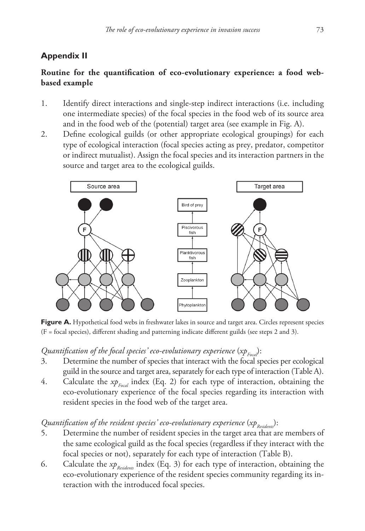# **Appendix II**

# **Routine for the quantification of eco-evolutionary experience: a food webbased example**

- 1. Identify direct interactions and single-step indirect interactions (i.e. including one intermediate species) of the focal species in the food web of its source area and in the food web of the (potential) target area (see example in Fig. A).
- 2. Define ecological guilds (or other appropriate ecological groupings) for each type of ecological interaction (focal species acting as prey, predator, competitor or indirect mutualist). Assign the focal species and its interaction partners in the source and target area to the ecological guilds.



Figure A. Hypothetical food webs in freshwater lakes in source and target area. Circles represent species (F = focal species), different shading and patterning indicate different guilds (see steps 2 and 3).

*Quantification of the focal species' eco-evolutionary experience* (*xp<sub>Focal</sub>*):<br>3. Determine the number of species that interact with the focal st

- Determine the number of species that interact with the focal species per ecological guild in the source and target area, separately for each type of interaction (Table A).
- 4. Calculate the *xp<sub>Focal</sub>* index (Eq. 2) for each type of interaction, obtaining the eco-evolutionary experience of the focal species regarding its interaction with resident species in the food web of the target area.

# *Quantification of the resident species' eco-evolutionary experience* (*xp<sub>Residents</sub>*):<br>5. Determine the number of resident species in the target area that an

- Determine the number of resident species in the target area that are members of the same ecological guild as the focal species (regardless if they interact with the focal species or not), separately for each type of interaction (Table B).
- 6. Calculate the *xp<sub>Residents</sub>* index (Eq. 3) for each type of interaction, obtaining the eco-evolutionary experience of the resident species community regarding its interaction with the introduced focal species.